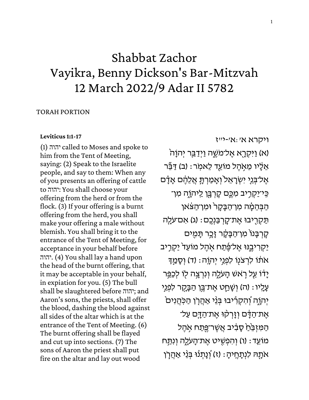# Shabbat Zachor Vayikra, Benny Dickson's Bar-Mitzvah 12 March 2022/9 Adar II 5782

### TORAH PORTION

### **[Leviticus 1:1-17](https://www.sefaria.org/Leviticus.1.1-17)**

(1) יהוה called to Moses and spoke to him from the Tent of Meeting, saying: (2) Speak to the Israelite people, and say to them: When any of you presents an offering of cattle to יהוה: You shall choose your offering from the herd or from the flock. (3) If your offering is a burnt offering from the herd, you shall make your offering a male without blemish. You shall bring it to the entrance of the Tent of Meeting, for acceptance in your behalf before יהוה. (4) You shall lay a hand upon the head of the burnt offering, that it may be acceptable in your behalf, in expiation for you. (5) The bull shall be slaughtered before יהוה ;and Aaron's sons, the priests, shall offer the blood, dashing the blood against all sides of the altar which is at the entrance of the Tent of Meeting. (6) The burnt offering shall be flayed and cut up into sections. (7) The sons of Aaron the priest shall put fire on the altar and lay out wood

[ויקרא](https://www.sefaria.org/Leviticus.1.1-17) [א׳:א׳-י״ז](https://www.sefaria.org/Leviticus.1.1-17)

(א) וַיִּקְרָא אֱל־מִשֱה וַיְדַבֵּר יִהוַה אֵלָיו מֵאִהֵל מוֹעֵד לֵאמִר: (ב) דַּבֶּר אֱל־בְּגֵי יִשְׂרָאֱל וְאָמַרְתָּ אֲלֵהֶם אָדָָ֫ם ְּבְּיֹיַקְרָיב מִכֱם קָרְבָּן לִיהוָה מִן־ הַבַּהמִׂה מַן־הַבַּקָר וּמַן־הַצַּאַן תַּקְרִיבוּ אֶת־קַרְבַּנְכֶם: (ג) אִּם־עֹלֵה קַרְבַּנוֹ מִו־הַבָּקָר זָכֵר תַּמְים ַיַּקְרִיבֶנּוּ אֱל־פֶּׁתַח אֶהֶל מוֹעֵד<sup>י</sup> יַקְרֶיב אֹתֹוֹ לִרְצֹנִוּ לִפְנֵי יְהוֵֹה: (ד) וְסָמֵדְּ **ַיֹּדוֹ עַל רְאֹשׁ הַעֹלֵה וְוִרְצֵה לוֹ לִכְ**פֳֵּר ּעֲלֵיו: (ה) וְשָׁחֵט אֱתֹ־בֵּן הַבָּקֶר לִפְנֵי יְהוָה וְׁהִקְרִיּבוּ בְּנֵי אַהֲרָן הַכְּהֲנִים ׁ אֶת־הַדָּם וְזַרְקָוּ אֶת־הַדֵּם עַל־ הַמִּזְבֵּׂהַ סָבְיִּב אֲשֶׁר־פֶּתַּח אָהֶל מוֹעֵד: (ו) וְהִפְשִׁיט אֶת־הַעֹלֶה וְנִתַּח אֹתָהּ לִנְתַחֵיהַ: (ז) וְׁנַתְנוּ בְּנֵי אַהֲרֹן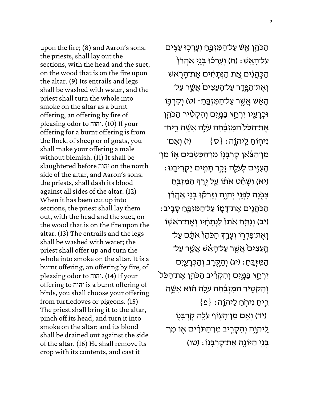upon the fire; (8) and Aaron's sons, the priests, shall lay out the sections, with the head and the suet, on the wood that is on the fire upon the altar. (9) Its entrails and legs shall be washed with water, and the priest shall turn the whole into smoke on the altar as a burnt offering, an offering by fire of pleasing odor to יהוה. (10) If your offering for a burnt offering is from the flock, of sheep or of goats, you shall make your offering a male without blemish. (11) It shall be slaughtered before יהוה on the north side of the altar, and Aaron's sons, the priests, shall dash its blood against all sides of the altar. (12) When it has been cut up into sections, the priest shall lay them out, with the head and the suet, on the wood that is on the fire upon the altar. (13) The entrails and the legs shall be washed with water; the priest shall offer up and turn the whole into smoke on the altar. It is a burnt offering, an offering by fire, of pleasing odor to יהוה.) 14 (If your offering to יהוה is a burnt offering of birds, you shall choose your offering from turtledoves or pigeons. (15) The priest shall bring it to the altar, pinch off its head, and turn it into smoke on the altar; and its blood shall be drained out against the side of the altar. (16) He shall remove its crop with its contents, and cast it

ֿהַכֹּהֵן אֵשׁ עַל־הַמִּזְבֵּחַ וְעָרִכְוּ עֵצִים ֿעַל־הָאֵשׁ : (ח) וְעָרְכֹוּ בְּנֵי אַהֲרֹן הַכְּהֲיִ֫ים אֱת הַנְּתָחִ֫ים אֶת־הָרָאשׁ ֿוְאֶת־הַפֶּדֶר עַל־הָעֵצִיםׂ אֲשֱר עַל־ ֹהָאֵׁשׁ אֲשֶׁר עַל־הַמְּזְבֵּחַ: (ט) וְקִרְבָּוֹ ּוּכְרָעָיו יִרְחַץ בַּמֱיִם וְהִקְטִיר הַכֹּהֵן ּאֶת־הַכֹּל הַמִּזְבֵּ֫חָה עַלֶּה אִשֵּׁה רֵיחַ־ נִיחְוֹחַ לַיהוָה: {ס $\{ \sigma \}$  (י) וְאִם־ ֿמִן־הַצּׁאן קָרְבָּנָוֹ מִן־הַכְּשָׂבֵים אָוֹ מִן־ ֹּהָעְזִּיִּם לְעֹלֶה זָכֶר תָּמִים יַקְרִיבֵנּוּ ו יא) וְשָׁחַט אֹתו*וׁ עַל י*ֶרֶךָ הַמִּזְבֶּחַ צְפָנָה לִפְגֵי יְהוֶה וְזָרְקוּ בְּגֵיْ אַהֲרו*ן* ּהַכְּהֲנִים אֱת־דָּמֶו עַל־הַמִּזְבֵּחַ סָבֵיב וֹ וְנִתַּּח אֹתוֹ לִנְתָחָ֫יו וְאֵת־רֹאשָׂוֹ) וְאֶת־פִּדְרֶוֹ וְעָרָךְ הַכֹּהֵן אֹתָם עַל־ ֿהָעֵצִיםֹ אֲשֱר עַל־הָאֵ֫שׁ אֲשֱר עַל־ הַמִּזְבֵּחַ: (יג) וְהַקֶרֵב וְהַכְּרָעַיִּם יִּרְחַץ בַּמֲיִם וְהִקְרִיב הַכֹּהֵן אֶת־הַכֹּל וְהִקְטָיר הַמִּזְבֵּ֫חָה עֹלֵה הוֹא אִשֵּׁה  $\{e\}$  : בֵיחַ נִיחְחַ לַיהוֵה יד) וְאֵם מְו־הָעֶוֹף עֹלֶה קָרְבָּנִוֹ) ַלִּיהוֶה וְהִקְרָיב מִו־הַתּרִיּם אֶוֹ מִו־ בְּנֵי הַיּוֹנַה אֱת־קַרְבַּנְוֹ : (טו)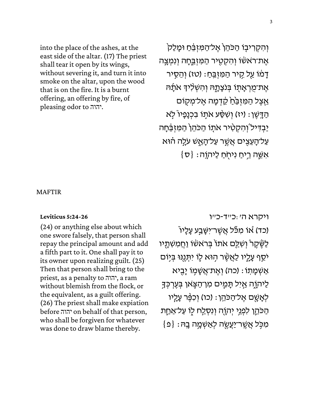into the place of the ashes, at the east side of the altar. (17) The priest shall tear it open by its wings, without severing it, and turn it into smoke on the altar, upon the wood that is on the fire. It is a burnt offering, an offering by fire, of pleasing odor to יהוה.

וְהִקְרִיבָו הַכֹּהֵן אֶל־הַמִּזְבֵּחַ וּמָלַק אֶת־רֹאשׂוֹ וְהִקְטִיר הַמִּזְבֵּחָה וִנְמְצֵה דָמֹוֹ עַל קֶיר הַמִּזְבֵּחַ: (טז) וְהֵסֵיר אֶת־מֻרְאָתָו בְּנֹצְתֶָהּ וְהִשְׁלִיהָ אֹתָנהּ אֵצֵל הַמִּזְבֵּ<u>֫ה</u> קֶדְמָה אֱל־מְקָוֹם ֿהַדָּשֵׁן: (יז) וְשִׂסַּע אֹתְוֹ בְּכָנָפִיו ְּלֹא ַיַּבְדִּיל וְהִקְטִיר אֹתָו הַכֹּהֵן הַמִּזְבֵּחָה עַל־הַעֲצִים אֲשֱר עַל־הַאֲשׁ עֹלֵה הֿוּא  $\{\sigma\}$  : אִשֱה רֵיחַ נִיחִׂחַ לַיהוֵה

MAFTIR

#### **[Leviticus 5:24-26](https://www.sefaria.org/Leviticus.5.24-26)**

(24) or anything else about which one swore falsely, that person shall repay the principal amount and add a fifth part to it. One shall pay it to its owner upon realizing guilt. (25) Then that person shall bring to the priest, as a penalty to יהוה, a ram without blemish from the flock, or the equivalent, as a guilt offering. (26) The priest shall make expiation before יהוה on behalf of that person, who shall be forgiven for whatever was done to draw blame thereby.

[ויקרא](https://www.sefaria.org/Leviticus.5.24-26) [ה׳:כ״ד- כ״ו](https://www.sefaria.org/Leviticus.5.24-26)  ֿ(כד) או מִכּֿל אֲשֶׁר־יִּשֶּׁבַע עָלָיו לַשֶּׁ קֶר וְשָׁלַַם אֹתוֹ בְּרֹאשׂוֹ וַחֲמִשְׁתָיו ֿיֹסֵף עָלֶיו לַאֲשֶׁר הְוּא לֶוֹ יִתְּנֵנּוּ בִּיְוֹם אַשְׁמַתוֹ: (כה) וְאֱת־אֲשָׁמִוֹ יַבִּיא ַלַיהוֵה אַיִל תַּמֵים מִו־הַצֵּאו בִּעֵרְכָּדָ ֹלְאֲשֶׁם אֱל־הַכֹּהֵן : (כו) וְכִפֶּּר עֲלֵיו הַכֹּהֱן לִפְגֵי יְהְוֶה וְנִסְלַח לֵו עַל־אַחֵת  $\{ \mathfrak{o} \} :$ מְכֵּל אֲשֶׁר־יַעֲשֶׂה לְאַשְׁמֵה בָה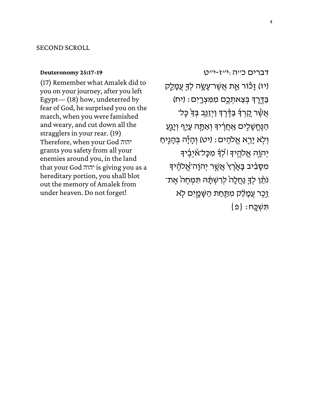#### SECOND SCROLL

#### **[Deuteronomy 25:17-19](https://www.sefaria.org/Deuteronomy.25.17-19)**

(17) Remember what Amalek did to you on your journey, after you left Egypt— (18) how, undeterred by fear of God, he surprised you on the march, when you were famished and weary, and cut down all the stragglers in your rear. (19) Therefore, when your God יהוה grants you safety from all your enemies around you, in the land that your God יהוה is giving you as a hereditary portion, you shall blot out the memory of Amalek from under heaven. Do not forget!

[דברים](https://www.sefaria.org/Deuteronomy.25.17-19) [כ״ה:י״ז-י״ט](https://www.sefaria.org/Deuteronomy.25.17-19) יז) זָכוֹר אֶת אֲשֶׁר־עָשָׂה לְךָּ עֲמָלֵק) ַבְּדֶרֵךְ בִּצֵאתְכֶם מִמְּצְרָיִם: (יִח אֲשֶׁר קִרְךָּ בַּדֶּיֶרֶךְ וַיְזַגֵּב בְּךָ כָּל־ הַנֶּחֱשָׁלִים אַחֲרֶיךָ וְאַתָּה עָיֵף וְיָגֵעַ וְלָא יָרֵא אֱלֹהִים: (יט) וְהָיָٔה בְּהָגִיחַ יְהְוָה אֱלֹהֶיִּךְ ּ׀ לְֽךְּ מִכָּל־אֹיִבֵۢיךָ מִסָּבִ֫יב בָּאָרֵץ אֲשֱר יִהוָה־אֱלהֶיךָ נֹתֶׁן לְךָּ נַחֲלָהֹ לְרִשְׁתָּ֔הּ תִּמְחֶהֹ אֶת־ **ַיִּכֵר עֲמָלֵק מִתַּחַת הַשֶּׁמֲיִם לֹא**  $\{ \Omega \} : \Omega$ תְּשְׁכֵּח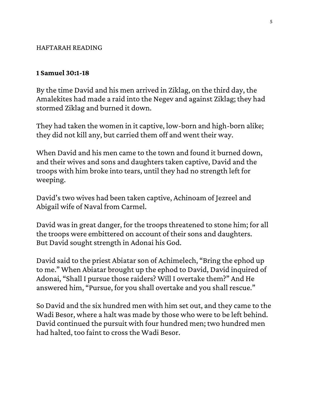## HAFTARAH READING

## **1 Samuel 30:1-18**

By the time David and his men arrived in Ziklag, on the third day, the Amalekites had made a raid into the Negev and against Ziklag; they had stormed Ziklag and burned it down.

They had taken the women in it captive, low-born and high-born alike; they did not kill any, but carried them off and went their way.

When David and his men came to the town and found it burned down, and their wives and sons and daughters taken captive, David and the troops with him broke into tears, until they had no strength left for weeping.

David's two wives had been taken captive, Achinoam of Jezreel and Abigail wife of Naval from Carmel.

David was in great danger, for the troops threatened to stone him; for all the troops were embittered on account of their sons and daughters. But David sought strength in Adonai his God.

David said to the priest Abiatar son of Achimelech, "Bring the ephod up to me." When Abiatar brought up the ephod to David, David inquired of Adonai, "Shall I pursue those raiders? Will I overtake them?" And He answered him, "Pursue, for you shall overtake and you shall rescue."

So David and the six hundred men with him set out, and they came to the Wadi Besor, where a halt was made by those who were to be left behind. David continued the pursuit with four hundred men; two hundred men had halted, too faint to cross the Wadi Besor.